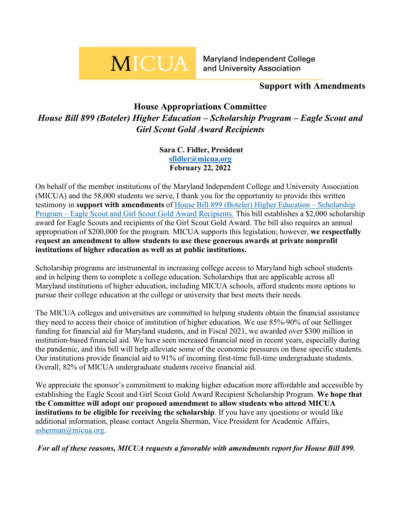# **MICUA**

Maryland Independent College and University Association

## **Support with Amendments**

# **House Appropriations Committee** *House Bill 899 (Boteler) Higher Education – Scholarship Program – Eagle Scout and Girl Scout Gold Award Recipients*

**Sara C. Fidler, President [sfidler@micua.org](mailto:sfidler@micua.org) February 22, 2022**

On behalf of the member institutions of the Maryland Independent College and University Association (MICUA) and the 58,000 students we serve, I thank you for the opportunity to provide this written testimony in **support with amendments** of [House Bill 899 \(Boteler\) Higher Education –](https://mgaleg.maryland.gov/mgawebsite/Legislation/Details/HB0899?ys=2022RS) Scholarship Program – [Eagle Scout and Girl Scout Gold Award Recipients.](https://mgaleg.maryland.gov/mgawebsite/Legislation/Details/HB0899?ys=2022RS) This bill establishes a \$2,000 scholarship award for Eagle Scouts and recipients of the Girl Scout Gold Award. The bill also requires an annual appropriation of \$200,000 for the program. MICUA supports this legislation; however, **we respectfully request an amendment to allow students to use these generous awards at private nonprofit institutions of higher education as well as at public institutions.**

Scholarship programs are instrumental in increasing college access to Maryland high school students and in helping them to complete a college education. Scholarships that are applicable across all Maryland institutions of higher education, including MICUA schools, afford students more options to pursue their college education at the college or university that best meets their needs.

The MICUA colleges and universities are committed to helping students obtain the financial assistance they need to access their choice of institution of higher education. We use 85%-90% of our Sellinger funding for financial aid for Maryland students, and in Fiscal 2021, we awarded over \$300 million in institution-based financial aid. We have seen increased financial need in recent years, especially during the pandemic, and this bill will help alleviate some of the economic pressures on these specific students. Our institutions provide financial aid to 91% of incoming first-time full-time undergraduate students. Overall, 82% of MICUA undergraduate students receive financial aid.

We appreciate the sponsor's commitment to making higher education more affordable and accessible by establishing the Eagle Scout and Girl Scout Gold Award Recipient Scholarship Program. **We hope that the Committee will adopt our proposed amendment to allow students who attend MICUA institutions to be eligible for receiving the scholarship**. If you have any questions or would like additional information, please contact Angela Sherman, Vice President for Academic Affairs, [asherman@micua.org.](mailto:asherman@micua.org)

*For all of these reasons, MICUA requests a favorable with amendments report for House Bill 899.*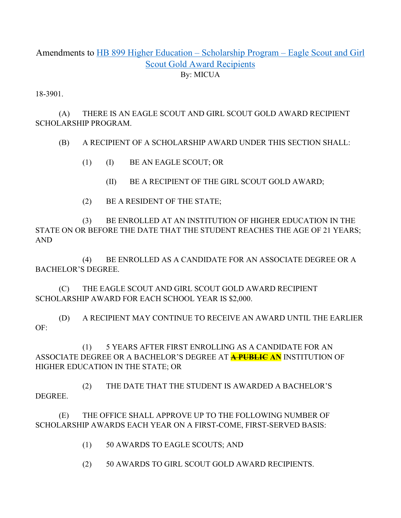### Amendments to [HB 899 Higher Education –](https://mgaleg.maryland.gov/mgawebsite/Legislation/Details/hb0899) Scholarship Program – Eagle Scout and Girl [Scout Gold Award Recipients](https://mgaleg.maryland.gov/mgawebsite/Legislation/Details/hb0899) By: MICUA

18-3901.

(A) THERE IS AN EAGLE SCOUT AND GIRL SCOUT GOLD AWARD RECIPIENT SCHOLARSHIP PROGRAM.

(B) A RECIPIENT OF A SCHOLARSHIP AWARD UNDER THIS SECTION SHALL:

- (1) (I) BE AN EAGLE SCOUT; OR
	- (II) BE A RECIPIENT OF THE GIRL SCOUT GOLD AWARD;
- (2) BE A RESIDENT OF THE STATE;

(3) BE ENROLLED AT AN INSTITUTION OF HIGHER EDUCATION IN THE STATE ON OR BEFORE THE DATE THAT THE STUDENT REACHES THE AGE OF 21 YEARS; AND

(4) BE ENROLLED AS A CANDIDATE FOR AN ASSOCIATE DEGREE OR A BACHELOR'S DEGREE.

(C) THE EAGLE SCOUT AND GIRL SCOUT GOLD AWARD RECIPIENT SCHOLARSHIP AWARD FOR EACH SCHOOL YEAR IS \$2,000.

(D) A RECIPIENT MAY CONTINUE TO RECEIVE AN AWARD UNTIL THE EARLIER OF:

(1) 5 YEARS AFTER FIRST ENROLLING AS A CANDIDATE FOR AN ASSOCIATE DEGREE OR A BACHELOR'S DEGREE AT **A PUBLIC AN** INSTITUTION OF HIGHER EDUCATION IN THE STATE; OR

(2) THE DATE THAT THE STUDENT IS AWARDED A BACHELOR'S DEGREE.

(E) THE OFFICE SHALL APPROVE UP TO THE FOLLOWING NUMBER OF SCHOLARSHIP AWARDS EACH YEAR ON A FIRST-COME, FIRST-SERVED BASIS:

- (1) 50 AWARDS TO EAGLE SCOUTS; AND
- (2) 50 AWARDS TO GIRL SCOUT GOLD AWARD RECIPIENTS.